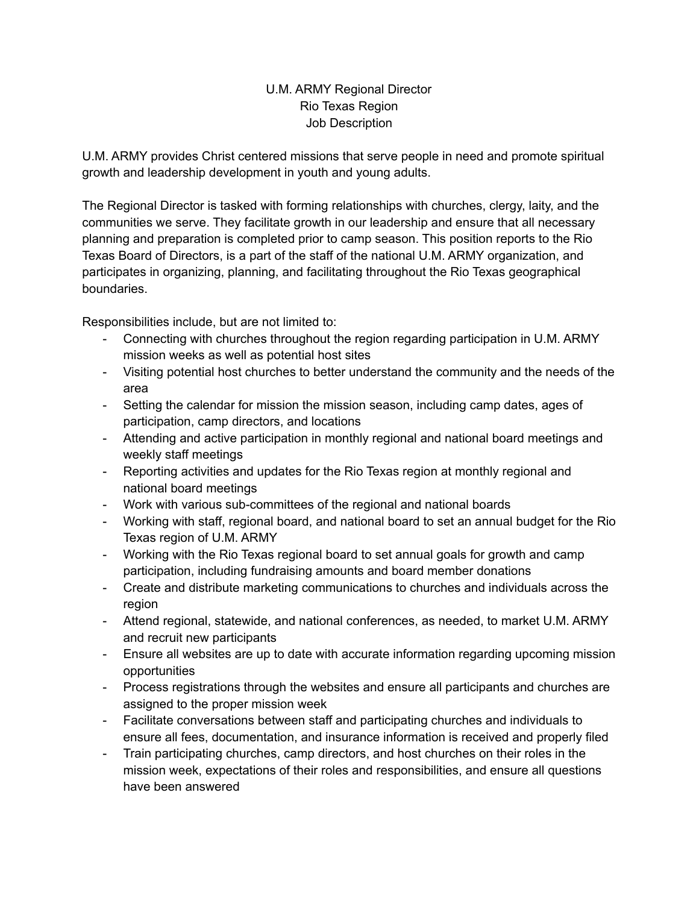# U.M. ARMY Regional Director Rio Texas Region Job Description

U.M. ARMY provides Christ centered missions that serve people in need and promote spiritual growth and leadership development in youth and young adults.

The Regional Director is tasked with forming relationships with churches, clergy, laity, and the communities we serve. They facilitate growth in our leadership and ensure that all necessary planning and preparation is completed prior to camp season. This position reports to the Rio Texas Board of Directors, is a part of the staff of the national U.M. ARMY organization, and participates in organizing, planning, and facilitating throughout the Rio Texas geographical boundaries.

Responsibilities include, but are not limited to:

- Connecting with churches throughout the region regarding participation in U.M. ARMY mission weeks as well as potential host sites
- Visiting potential host churches to better understand the community and the needs of the area
- Setting the calendar for mission the mission season, including camp dates, ages of participation, camp directors, and locations
- Attending and active participation in monthly regional and national board meetings and weekly staff meetings
- Reporting activities and updates for the Rio Texas region at monthly regional and national board meetings
- Work with various sub-committees of the regional and national boards
- Working with staff, regional board, and national board to set an annual budget for the Rio Texas region of U.M. ARMY
- Working with the Rio Texas regional board to set annual goals for growth and camp participation, including fundraising amounts and board member donations
- Create and distribute marketing communications to churches and individuals across the region
- Attend regional, statewide, and national conferences, as needed, to market U.M. ARMY and recruit new participants
- Ensure all websites are up to date with accurate information regarding upcoming mission opportunities
- Process registrations through the websites and ensure all participants and churches are assigned to the proper mission week
- Facilitate conversations between staff and participating churches and individuals to ensure all fees, documentation, and insurance information is received and properly filed
- Train participating churches, camp directors, and host churches on their roles in the mission week, expectations of their roles and responsibilities, and ensure all questions have been answered